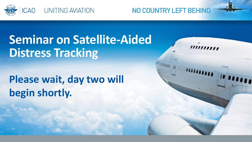

# **Seminar on Satellite-Aided Distress Tracking**

**Please wait, day two will begin shortly.**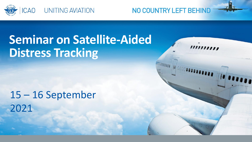

# **Seminar on Satellite-Aided Distress Tracking**

15 – 16 September 2021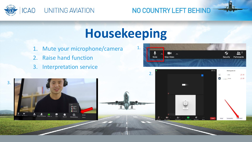

# **Housekeeping**

- 1. Mute your microphone/camera
- 2. Raise hand function
- 3. Interpretation service





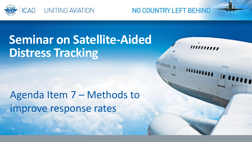

# **Seminar on Satellite-Aided Distress Tracking**

Agenda Item 7 – Methods to improve response rates

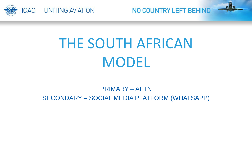

# THE SOUTH AFRICAN MODEL

NO COUNTRY LEFT BEHIND

## PRIMARY – AFTN SECONDARY – SOCIAL MEDIA PLATFORM (WHATSAPP)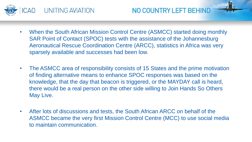

- When the South African Mission Control Centre (ASMCC) started doing monthly SAR Point of Contact (SPOC) tests with the assistance of the Johannesburg Aeronautical Rescue Coordination Centre (ARCC), statistics in Africa was very sparsely available and successes had been low.
- The ASMCC area of responsibility consists of 15 States and the prime motivation of finding alternative means to enhance SPOC responses was based on the knowledge, that the day that beacon is triggered, or the MAYDAY call is heard, there would be a real person on the other side willing to Join Hands So Others May Live.
- After lots of discussions and tests, the South African ARCC on behalf of the ASMCC became the very first Mission Control Centre (MCC) to use social media to maintain communication.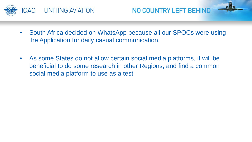



- South Africa decided on WhatsApp because all our SPOCs were using the Application for daily casual communication.
- As some States do not allow certain social media platforms, it will be beneficial to do some research in other Regions, and find a common social media platform to use as a test.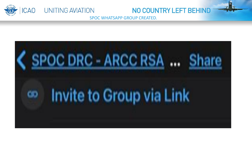

SPOC WHATSAPP GROUP CREATED.

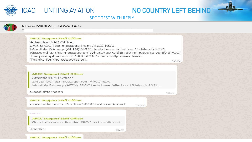

## ICAO UNITING AVIATION

## NO COUNTRY LEFT BEHIND

#### **SPOC TEST WITH REPLY.**



#### SPOC Malawi - ARCC RSA

#### **ARCC Support Staff Officer**

Attention SAR Officer SAR SPOC Test message from ARCC RSA. Monthly Primary (AFTN) SPOC tests have failed on 15 March 2021. Respond to this message on WhatsApp within 30 minutes to verify SPOC. The prompt action of SAR SPOC's naturally saves lives. Thanks for the cooperation.  $13:19$ 

#### **ARCC Support Staff Officer**

Attention SAR Officer SAR SPOC Test message from ARCC RSA. Monthly Primary (AFTN) SPOC tests have failed on 15 March 2021....

#### Good afternoon

13:23

#### **ARCC Support Staff Officer**

Good afternoon. Positive SPOC test confirmed.

 $13:27$ 

#### **ARCC Support Staff Officer**

Good afternoon. Positive SPOC test confirmed.

Thanks

13:29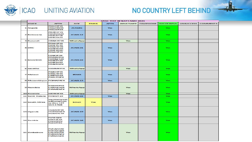

## **CAO** UNITING AVIATION

## NO COUNTRY LEFT BEHIND

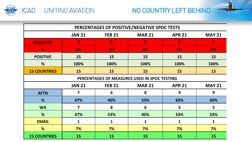



| PERCENTAGES OF POSITIVE/NEGATIVE SPOC TESTS  |                         |               |                 |               |               |
|----------------------------------------------|-------------------------|---------------|-----------------|---------------|---------------|
|                                              | <b>JAN 21</b>           | <b>FEB 21</b> | <b>MAR 21</b>   | <b>APR 21</b> | <b>MAY 21</b> |
| <b>NEGATIVE</b>                              | $\bf{0}$                | $\bf{0}$      | $\mathbf{0}$    | $\bf{0}$      | $\bf{0}$      |
| $\frac{9}{6}$                                | 0%                      | 0%            | 0%              | 0%            | 0%            |
| <b>POSITIVE</b>                              | 15                      | 15            | 15              | 15            | 15            |
| %                                            | 100%                    | 100%          | 100%            | 100%          | 100%          |
| <b>15 COUNTRIES</b>                          | 15                      | 15            | 15              | 15            | 15            |
| PERCENTAGES OF MEASURES USED IN SPOC TESTING |                         |               |                 |               |               |
|                                              | <b>JAN 21</b>           | <b>FEB 21</b> | <b>MAR 21</b>   | <b>APR 21</b> | <b>MAY 21</b> |
| <b>AFTN</b>                                  | 7                       | 6             | 8               | 9             | 9             |
| %                                            | 47%                     | 40%           | 53%             | 60%           | 60%           |
| <b>WA</b>                                    | $\overline{\mathbf{z}}$ | 8             | $6\phantom{1}6$ | 5             | 5             |
| %                                            | 47%                     | 53%           | 40%             | 33%           | 33%           |
| <b>EMAIL</b>                                 | 1                       | $\mathbf{1}$  | 1               | $\mathbf{1}$  | 1             |
| %                                            | 7%                      | 7%            | 7%              | 7%            | 7%            |
| <b>15 COUNTRIES</b>                          | 15                      | 15            | 15              | 15            | 15            |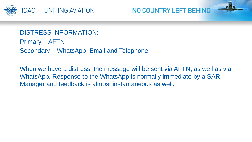

DISTRESS INFORMATION: Primary – AFTN Secondary – WhatsApp, Email and Telephone.

When we have a distress, the message will be sent via AFTN, as well as via WhatsApp. Response to the WhatsApp is normally immediate by a SAR Manager and feedback is almost instantaneous as well.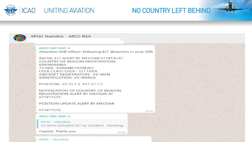



#### SPOC Namibia - ARCC RSA

#### ARCC SBY SMC 2

Attention SAR officer: following ELT detection in your SRR

INITIAL ELT ALERT BY MEOSAR 071410UTC COUNTRY OF BEACON REGISTRATION: 659/NAMIBIA 15 HFX: D2664BC1639F261 USER CLASS USER - ELT USER AIRCRAFT REGISTRATION: V5-WAN IDENTIFICATION V5-WAN/0

POSITION: 22 25.1 S 017 27.7 E

NOTIFICATION OF COUNTRY OF BEACON REGISTRATION ALERT BY MEOSAR AT 071411UTC

POSITION UPDATE ALERT BY MEOSAR

071411UTC

16:34

#### **ARCC SBY SMC 2**

**SPOC - Namibia** 

V5 WAN activated ELT by accident. Standing

Copied. Thank you

16:34

**SPOC - Namibia**